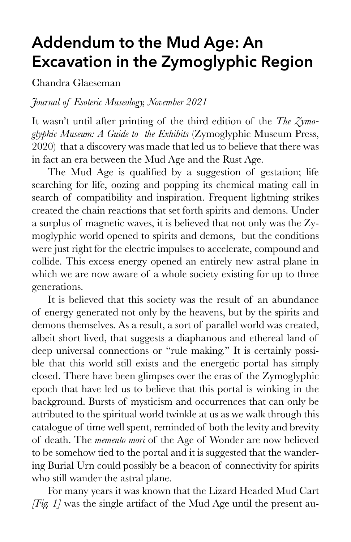## **Addendum to the Mud Age: An Excavation in the Zymoglyphic Region**

Chandra Glaeseman

*Journal of Esoteric Museology, November 2021*

It wasn't until after printing of the third edition of the *The Zymoglyphic Museum: A Guide to the Exhibits* (Zymoglyphic Museum Press, 2020) that a discovery was made that led us to believe that there was in fact an era between the Mud Age and the Rust Age.

The Mud Age is qualified by a suggestion of gestation; life searching for life, oozing and popping its chemical mating call in search of compatibility and inspiration. Frequent lightning strikes created the chain reactions that set forth spirits and demons. Under a surplus of magnetic waves, it is believed that not only was the Zymoglyphic world opened to spirits and demons, but the conditions were just right for the electric impulses to accelerate, compound and collide. This excess energy opened an entirely new astral plane in which we are now aware of a whole society existing for up to three generations.

It is believed that this society was the result of an abundance of energy generated not only by the heavens, but by the spirits and demons themselves. As a result, a sort of parallel world was created, albeit short lived, that suggests a diaphanous and ethereal land of deep universal connections or "rule making." It is certainly possible that this world still exists and the energetic portal has simply closed. There have been glimpses over the eras of the Zymoglyphic epoch that have led us to believe that this portal is winking in the background. Bursts of mysticism and occurrences that can only be attributed to the spiritual world twinkle at us as we walk through this catalogue of time well spent, reminded of both the levity and brevity of death. The *memento mori* of the Age of Wonder are now believed to be somehow tied to the portal and it is suggested that the wandering Burial Urn could possibly be a beacon of connectivity for spirits who still wander the astral plane.

For many years it was known that the Lizard Headed Mud Cart *[Fig. 1]* was the single artifact of the Mud Age until the present au-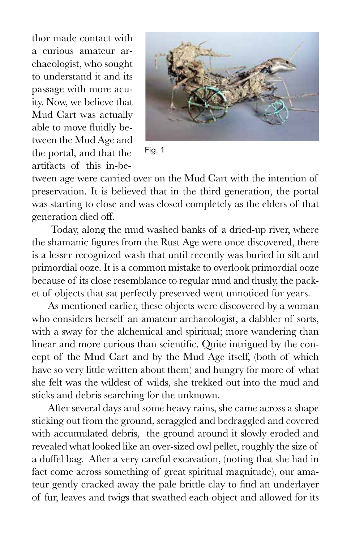thor made contact with a curious amateur archaeologist, who sought to understand it and its passage with more acuity. Now, we believe that Mud Cart was actually able to move fluidly between the Mud Age and the portal, and that the artifacts of this in-be-



Fig. 1

tween age were carried over on the Mud Cart with the intention of preservation. It is believed that in the third generation, the portal was starting to close and was closed completely as the elders of that generation died off.

 Today, along the mud washed banks of a dried-up river, where the shamanic figures from the Rust Age were once discovered, there is a lesser recognized wash that until recently was buried in silt and primordial ooze. It is a common mistake to overlook primordial ooze because of its close resemblance to regular mud and thusly, the packet of objects that sat perfectly preserved went unnoticed for years.

As mentioned earlier, these objects were discovered by a woman who considers herself an amateur archaeologist, a dabbler of sorts, with a sway for the alchemical and spiritual; more wandering than linear and more curious than scientific. Quite intrigued by the concept of the Mud Cart and by the Mud Age itself, (both of which have so very little written about them) and hungry for more of what she felt was the wildest of wilds, she trekked out into the mud and sticks and debris searching for the unknown.

After several days and some heavy rains, she came across a shape sticking out from the ground, scraggled and bedraggled and covered with accumulated debris, the ground around it slowly eroded and revealed what looked like an over-sized owl pellet, roughly the size of a duffel bag. After a very careful excavation, (noting that she had in fact come across something of great spiritual magnitude), our amateur gently cracked away the pale brittle clay to find an underlayer of fur, leaves and twigs that swathed each object and allowed for its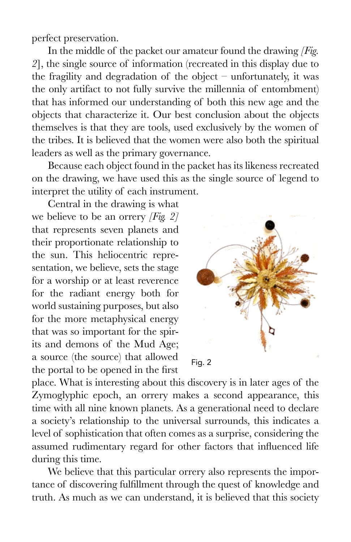perfect preservation.

In the middle of the packet our amateur found the drawing *[Fig. 2*], the single source of information (recreated in this display due to the fragility and degradation of the object – unfortunately, it was the only artifact to not fully survive the millennia of entombment) that has informed our understanding of both this new age and the objects that characterize it. Our best conclusion about the objects themselves is that they are tools, used exclusively by the women of the tribes. It is believed that the women were also both the spiritual leaders as well as the primary governance.

Because each object found in the packet has its likeness recreated on the drawing, we have used this as the single source of legend to interpret the utility of each instrument.

Central in the drawing is what we believe to be an orrery *[Fig. 2]* that represents seven planets and their proportionate relationship to the sun. This heliocentric representation, we believe, sets the stage for a worship or at least reverence for the radiant energy both for world sustaining purposes, but also for the more metaphysical energy that was so important for the spirits and demons of the Mud Age; a source (the source) that allowed the portal to be opened in the first



place. What is interesting about this discovery is in later ages of the Zymoglyphic epoch, an orrery makes a second appearance, this time with all nine known planets. As a generational need to declare a society's relationship to the universal surrounds, this indicates a level of sophistication that often comes as a surprise, considering the assumed rudimentary regard for other factors that influenced life during this time.

We believe that this particular orrery also represents the importance of discovering fulfillment through the quest of knowledge and truth. As much as we can understand, it is believed that this society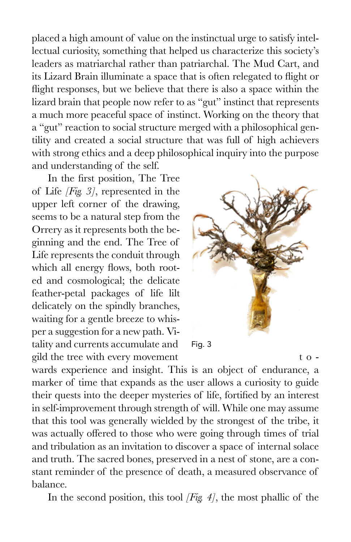placed a high amount of value on the instinctual urge to satisfy intellectual curiosity, something that helped us characterize this society's leaders as matriarchal rather than patriarchal. The Mud Cart, and its Lizard Brain illuminate a space that is often relegated to flight or flight responses, but we believe that there is also a space within the lizard brain that people now refer to as "gut" instinct that represents a much more peaceful space of instinct. Working on the theory that a "gut" reaction to social structure merged with a philosophical gentility and created a social structure that was full of high achievers with strong ethics and a deep philosophical inquiry into the purpose and understanding of the self.

In the first position, The Tree of Life *[Fig. 3]*, represented in the upper left corner of the drawing, seems to be a natural step from the Orrery as it represents both the beginning and the end. The Tree of Life represents the conduit through which all energy flows, both rooted and cosmological; the delicate feather-petal packages of life lilt delicately on the spindly branches, waiting for a gentle breeze to whisper a suggestion for a new path. Vitality and currents accumulate and gild the tree with every movement to -



wards experience and insight. This is an object of endurance, a marker of time that expands as the user allows a curiosity to guide their quests into the deeper mysteries of life, fortified by an interest in self-improvement through strength of will. While one may assume that this tool was generally wielded by the strongest of the tribe, it was actually offered to those who were going through times of trial and tribulation as an invitation to discover a space of internal solace and truth. The sacred bones, preserved in a nest of stone, are a constant reminder of the presence of death, a measured observance of balance.

In the second position, this tool *[Fig. 4]*, the most phallic of the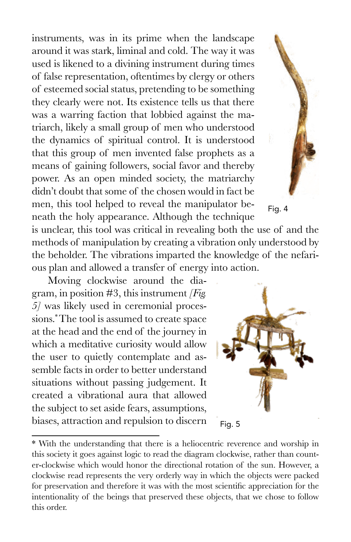instruments, was in its prime when the landscape around it was stark, liminal and cold. The way it was used is likened to a divining instrument during times of false representation, oftentimes by clergy or others of esteemed social status, pretending to be something they clearly were not. Its existence tells us that there was a warring faction that lobbied against the matriarch, likely a small group of men who understood the dynamics of spiritual control. It is understood that this group of men invented false prophets as a means of gaining followers, social favor and thereby power. As an open minded society, the matriarchy didn't doubt that some of the chosen would in fact be men, this tool helped to reveal the manipulator beneath the holy appearance. Although the technique

is unclear, this tool was critical in revealing both the use of and the methods of manipulation by creating a vibration only understood by the beholder. The vibrations imparted the knowledge of the nefarious plan and allowed a transfer of energy into action.

Moving clockwise around the diagram, in position #3, this instrument *[Fig. 5]* was likely used in ceremonial processions.\* The tool is assumed to create space at the head and the end of the journey in which a meditative curiosity would allow the user to quietly contemplate and assemble facts in order to better understand situations without passing judgement. It created a vibrational aura that allowed the subject to set aside fears, assumptions, biases, attraction and repulsion to discern

Fig. 4

Fig. 5

<sup>\*</sup> With the understanding that there is a heliocentric reverence and worship in this society it goes against logic to read the diagram clockwise, rather than counter-clockwise which would honor the directional rotation of the sun. However, a clockwise read represents the very orderly way in which the objects were packed for preservation and therefore it was with the most scientific appreciation for the intentionality of the beings that preserved these objects, that we chose to follow this order.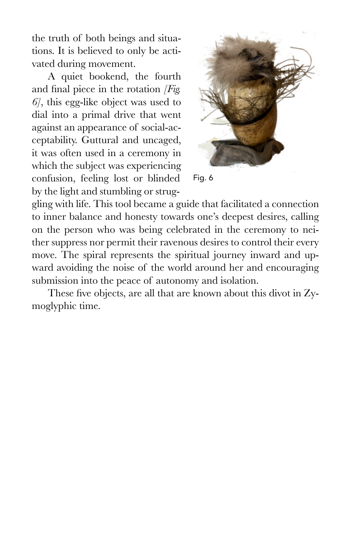the truth of both beings and situations. It is believed to only be activated during movement.

A quiet bookend, the fourth and final piece in the rotation *[Fig. 6]*, this egg-like object was used to dial into a primal drive that went against an appearance of social-acceptability. Guttural and uncaged, it was often used in a ceremony in which the subject was experiencing confusion, feeling lost or blinded by the light and stumbling or strug-



Fig. 6

gling with life. This tool became a guide that facilitated a connection to inner balance and honesty towards one's deepest desires, calling on the person who was being celebrated in the ceremony to neither suppress nor permit their ravenous desires to control their every move. The spiral represents the spiritual journey inward and upward avoiding the noise of the world around her and encouraging submission into the peace of autonomy and isolation.

These five objects, are all that are known about this divot in Zymoglyphic time.